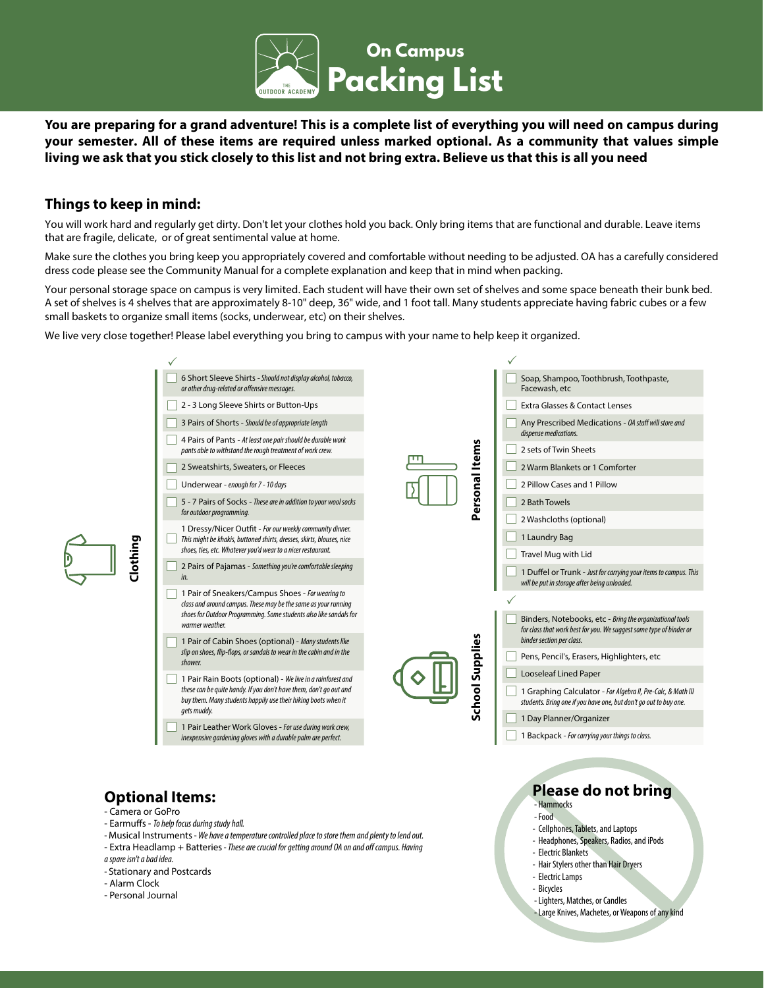

**You are preparing for a grand adventure! This is a complete list of everything you will need on campus during your semester. All of these items are required unless marked optional. As a community that values simple living we ask that you stick closely to this list and not bring extra. Believe us that this is all you need**

## **Things to keep in mind:**

You will work hard and regularly get dirty. Don't let your clothes hold you back. Only bring items that are functional and durable. Leave items that are fragile, delicate, or of great sentimental value at home.

Make sure the clothes you bring keep you appropriately covered and comfortable without needing to be adjusted. OA has a carefully considered dress code please see the Community Manual for a complete explanation and keep that in mind when packing.

Your personal storage space on campus is very limited. Each student will have their own set of shelves and some space beneath their bunk bed. A set of shelves is 4 shelves that are approximately 8-10" deep, 36" wide, and 1 foot tall. Many students appreciate having fabric cubes or a few small baskets to organize small items (socks, underwear, etc) on their shelves.

We live very close together! Please label everything you bring to campus with your name to help keep it organized.



# **Optional Items:**

- Camera or GoPro
- Earmufs *To help focus during study hall.*
- Musical Instruments *We have a temperature controlled place to store them and plenty to lend out.*
- Extra Headlamp + Batteries *These are crucial for getting around OA on and o*f *campus. Having*
- *a spare isn't a bad idea.*
- Stationary and Postcards
- Alarm Clock
- Personal Journal

- Large Knives, Machetes, or Weapons of any kind

**Please do not bring**

- Cellphones, Tablets, and Laptops - Headphones, Speakers, Radios, and iPods

- Hair Stylers other than Hair Dryers

- Lighters, Matches, or Candles

 - Hammocks - Food

- Electric Blankets

- Electric Lamps - Bicycles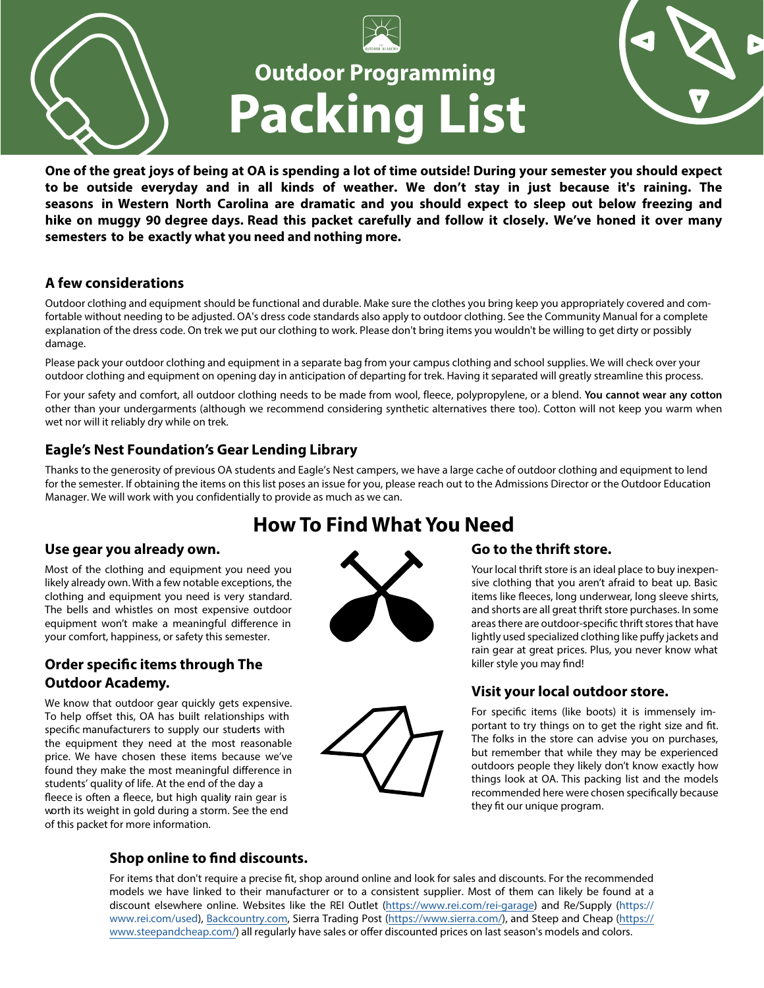

**One of the great joys of being at OA is spending a lot of time outside! During your semester you should expect to be outside everyday and in all kinds of weather. We don't stay in just because it's raining. The seasons in Western North Carolina are dramatic and you should expect to sleep out below freezing and hike on muggy 90 degree days. Read this packet carefully and follow it closely. We've honed it over many semesters to be exactly what you need and nothing more.** 

## **A few considerations**

Outdoor clothing and equipment should be functional and durable. Make sure the clothes you bring keep you appropriately covered and comfortable without needing to be adjusted. OA's dress code standards also apply to outdoor clothing. See the Community Manual for a complete explanation of the dress code. On trek we put our clothing to work. Please don't bring items you wouldn't be willing to get dirty or possibly damage.

Please pack your outdoor clothing and equipment in a separate bag from your campus clothing and school supplies. We will check over your outdoor clothing and equipment on opening day in anticipation of departing for trek. Having it separated will greatly streamline this process.

For your safety and comfort, all outdoor clothing needs to be made from wool, fleece, polypropylene, or a blend. **You cannot wear any cotton** other than your undergarments (although we recommend considering synthetic alternatives there too). Cotton will not keep you warm when wet nor will it reliably dry while on trek.

# **Eagle's Nest Foundation's Gear Lending Library**

Thanks to the generosity of previous OA students and Eagle's Nest campers, we have a large cache of outdoor clothing and equipment to lend for the semester. If obtaining the items on this list poses an issue for you, please reach out to the Admissions Director or the Outdoor Education Manager. We will work with you confidentially to provide as much as we can.

# **How To Find What You Need**

# **Use gear you already own.**

Most of the clothing and equipment you need you likely already own. With a few notable exceptions, the clothing and equipment you need is very standard. The bells and whistles on most expensive outdoor equipment won't make a meaningful diference in your comfort, happiness, or safety this semester.

# **Order specifc items through The Outdoor Academy.**

We know that outdoor gear quickly gets expensive. To help offset this, OA has built relationships with specific manufacturers to supply our students with the equipment they need at the most reasonable price. We have chosen these items because we've found they make the most meaningful diference in students' quality of life. At the end of the day a fleece is often a fleece, but high quality rain gear is worth its weight in gold during a storm. See the end of this packet for more information.





Your local thrift store is an ideal place to buy inexpensive clothing that you aren't afraid to beat up. Basic items like feeces, long underwear, long sleeve shirts, and shorts are all great thrift store purchases. In some areas there are outdoor-specifc thrift stores that have lightly used specialized clothing like pufy jackets and rain gear at great prices. Plus, you never know what killer style you may fnd!

 $\mathbf{r}$ 

# **Visit your local outdoor store.**

For specifc items (like boots) it is immensely important to try things on to get the right size and ft. The folks in the store can advise you on purchases, but remember that while they may be experienced outdoors people they likely don't know exactly how things look at OA. This packing list and the models recommended here were chosen specifcally because they ft our unique program.



# **Shop online to fnd discounts.**

For items that don't require a precise ft, shop around online and look for sales and discounts. For the recommended models we have linked to their manufacturer or to a consistent supplier. Most of them can likely be found at a discount elsewhere online. Websites like the REI Outlet [\(https://www.rei.com/rei-garage](https://www.rei.com/rei-garage)) and Re/Supply (https:// www.rei.com/used)[, B](https://www.steepandcheap.com/)[ackcountry.co](https://www.backcountry.com/)[m, Sierra Trading Post \(](https://www.steepandcheap.com/)<https://www.sierra.com/>[\), and Steep and Cheap \(https://](https://www.steepandcheap.com/) www.steepandcheap.com/) all regularly have sales or offer discounted prices on last season's models and colors.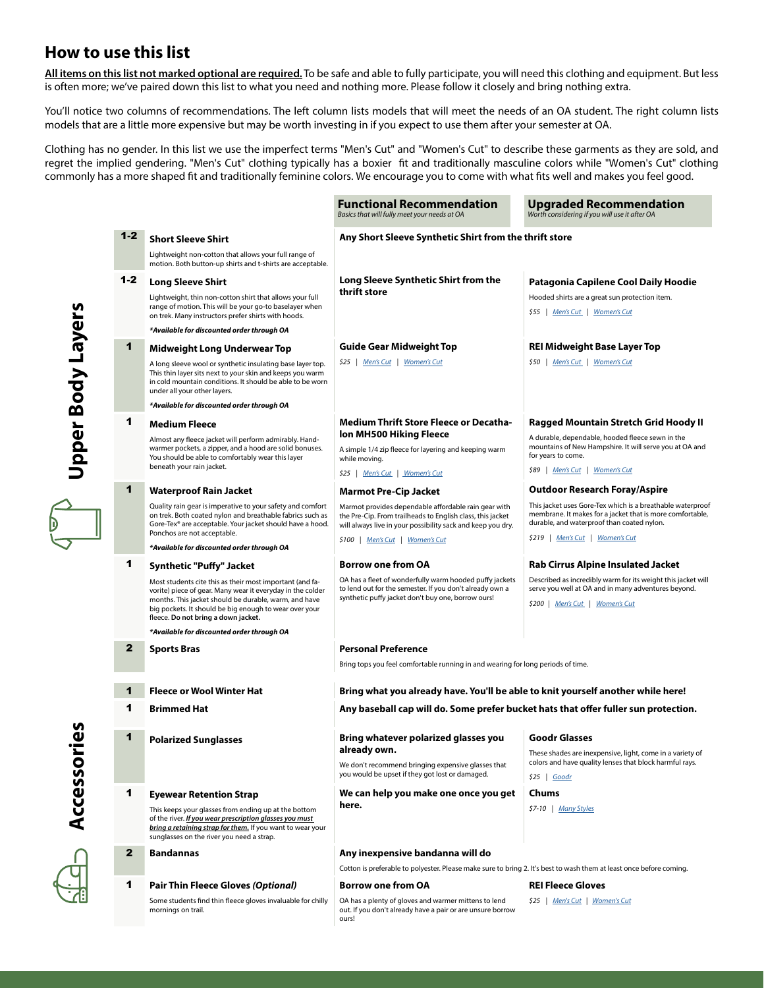# **How to use this list**

**All items on this list not marked optional are required.** To be safe and able to fully participate, you will need this clothing and equipment. But less is often more; we've paired down this list to what you need and nothing more. Please follow it closely and bring nothing extra.

You'll notice two columns of recommendations. The left column lists models that will meet the needs of an OA student. The right column lists models that are a little more expensive but may be worth investing in if you expect to use them after your semester at OA.

Clothing has no gender. In this list we use the imperfect terms "Men's Cut" and "Women's Cut" to describe these garments as they are sold, and regret the implied gendering. "Men's Cut" clothing typically has a boxier ft and traditionally masculine colors while "Women's Cut" clothing commonly has a more shaped ft and traditionally feminine colors. We encourage you to come with what fts well and makes you feel good.

**Functional Recommendation**

**Upgraded Recommendation**

|                   |              |                                                                                                                                                                                                                                                                                  | Basics that will fully meet your needs at OA                                                                                                                                      | Worth considering if you will use it after OA                                                                                                                         |  |
|-------------------|--------------|----------------------------------------------------------------------------------------------------------------------------------------------------------------------------------------------------------------------------------------------------------------------------------|-----------------------------------------------------------------------------------------------------------------------------------------------------------------------------------|-----------------------------------------------------------------------------------------------------------------------------------------------------------------------|--|
|                   | $1 - 2$      | <b>Short Sleeve Shirt</b>                                                                                                                                                                                                                                                        | Any Short Sleeve Synthetic Shirt from the thrift store                                                                                                                            |                                                                                                                                                                       |  |
|                   |              | Lightweight non-cotton that allows your full range of<br>motion. Both button-up shirts and t-shirts are acceptable.                                                                                                                                                              |                                                                                                                                                                                   |                                                                                                                                                                       |  |
|                   | $1 - 2$      | <b>Long Sleeve Shirt</b>                                                                                                                                                                                                                                                         | Long Sleeve Synthetic Shirt from the                                                                                                                                              | Patagonia Capilene Cool Daily Hoodie                                                                                                                                  |  |
|                   |              | Lightweight, thin non-cotton shirt that allows your full<br>range of motion. This will be your go-to baselayer when<br>on trek. Many instructors prefer shirts with hoods.                                                                                                       | thrift store                                                                                                                                                                      | Hooded shirts are a great sun protection item.<br>\$55   <u>Men's Cut</u>   <u>Women's Cut</u>                                                                        |  |
|                   |              | *Available for discounted order through OA                                                                                                                                                                                                                                       |                                                                                                                                                                                   |                                                                                                                                                                       |  |
|                   | 1            | <b>Midweight Long Underwear Top</b>                                                                                                                                                                                                                                              | Guide Gear Midweight Top                                                                                                                                                          | <b>REI Midweight Base Layer Top</b>                                                                                                                                   |  |
| Jpper Body Layers |              | A long sleeve wool or synthetic insulating base layer top.<br>This thin layer sits next to your skin and keeps you warm<br>in cold mountain conditions. It should be able to be worn<br>under all your other layers.                                                             | \$25   Men's Cut   Women's Cut                                                                                                                                                    | \$50   Men's Cut   Women's Cut                                                                                                                                        |  |
|                   |              | *Available for discounted order through OA                                                                                                                                                                                                                                       |                                                                                                                                                                                   |                                                                                                                                                                       |  |
|                   | 1            | <b>Medium Fleece</b>                                                                                                                                                                                                                                                             | <b>Medium Thrift Store Fleece or Decatha-</b>                                                                                                                                     | Ragged Mountain Stretch Grid Hoody II                                                                                                                                 |  |
|                   |              | Almost any fleece jacket will perform admirably. Hand-<br>warmer pockets, a zipper, and a hood are solid bonuses.<br>You should be able to comfortably wear this layer                                                                                                           | Ion MH500 Hiking Fleece<br>A simple 1/4 zip fleece for layering and keeping warm<br>while moving.                                                                                 | A durable, dependable, hooded fleece sewn in the<br>mountains of New Hampshire. It will serve you at OA and<br>for years to come.                                     |  |
|                   |              | beneath your rain jacket.                                                                                                                                                                                                                                                        | \$25   Men's Cut   Women's Cut                                                                                                                                                    | \$89   Men's Cut   Women's Cut                                                                                                                                        |  |
|                   | 1            | <b>Waterproof Rain Jacket</b>                                                                                                                                                                                                                                                    | <b>Marmot Pre-Cip Jacket</b>                                                                                                                                                      | <b>Outdoor Research Foray/Aspire</b>                                                                                                                                  |  |
|                   |              | Quality rain gear is imperative to your safety and comfort<br>on trek. Both coated nylon and breathable fabrics such as<br>Gore-Tex® are acceptable. Your jacket should have a hood.                                                                                             | Marmot provides dependable affordable rain gear with<br>the Pre-Cip. From trailheads to English class, this jacket<br>will always live in your possibility sack and keep you dry. | This jacket uses Gore-Tex which is a breathable waterproof<br>membrane. It makes for a jacket that is more comfortable,<br>durable, and waterproof than coated nylon. |  |
|                   |              | Ponchos are not acceptable.                                                                                                                                                                                                                                                      | \$100   Men's Cut   Women's Cut                                                                                                                                                   | \$219   Men's Cut   Women's Cut                                                                                                                                       |  |
|                   |              | *Available for discounted order through OA                                                                                                                                                                                                                                       |                                                                                                                                                                                   |                                                                                                                                                                       |  |
|                   | 1            | <b>Synthetic "Puffy" Jacket</b>                                                                                                                                                                                                                                                  | <b>Borrow one from OA</b><br>OA has a fleet of wonderfully warm hooded puffy jackets                                                                                              | <b>Rab Cirrus Alpine Insulated Jacket</b><br>Described as incredibly warm for its weight this jacket will                                                             |  |
|                   |              | Most students cite this as their most important (and fa-<br>vorite) piece of gear. Many wear it everyday in the colder<br>months. This jacket should be durable, warm, and have<br>big pockets. It should be big enough to wear over your<br>fleece. Do not bring a down jacket. | to lend out for the semester. If you don't already own a<br>synthetic puffy jacket don't buy one, borrow ours!                                                                    | serve you well at OA and in many adventures beyond.<br>\$200   Men's Cut   Women's Cut                                                                                |  |
|                   |              | *Available for discounted order through OA                                                                                                                                                                                                                                       |                                                                                                                                                                                   |                                                                                                                                                                       |  |
|                   | $\mathbf{2}$ | <b>Sports Bras</b>                                                                                                                                                                                                                                                               | <b>Personal Preference</b>                                                                                                                                                        |                                                                                                                                                                       |  |
|                   |              |                                                                                                                                                                                                                                                                                  | Bring tops you feel comfortable running in and wearing for long periods of time.                                                                                                  |                                                                                                                                                                       |  |
|                   | 1            | <b>Fleece or Wool Winter Hat</b>                                                                                                                                                                                                                                                 | Bring what you already have. You'll be able to knit yourself another while here!                                                                                                  |                                                                                                                                                                       |  |
|                   | 1            | <b>Brimmed Hat</b>                                                                                                                                                                                                                                                               | Any baseball cap will do. Some prefer bucket hats that offer fuller sun protection.                                                                                               |                                                                                                                                                                       |  |
|                   |              |                                                                                                                                                                                                                                                                                  |                                                                                                                                                                                   |                                                                                                                                                                       |  |
|                   | 1            | <b>Polarized Sunglasses</b>                                                                                                                                                                                                                                                      | Bring whatever polarized glasses you                                                                                                                                              | <b>Goodr Glasses</b>                                                                                                                                                  |  |
|                   |              |                                                                                                                                                                                                                                                                                  | already own.                                                                                                                                                                      | These shades are inexpensive, light, come in a variety of                                                                                                             |  |
|                   |              |                                                                                                                                                                                                                                                                                  | We don't recommend bringing expensive glasses that<br>you would be upset if they got lost or damaged.                                                                             | colors and have quality lenses that block harmful rays.<br>$$25$   Goodr                                                                                              |  |
|                   | 1            | <b>Eyewear Retention Strap</b>                                                                                                                                                                                                                                                   | We can help you make one once you get                                                                                                                                             | Chums                                                                                                                                                                 |  |
|                   |              | This keeps your glasses from ending up at the bottom<br>of the river. <i>If you wear prescription glasses you must</i><br>bring a retaining strap for them. If you want to wear your<br>sunglasses on the river you need a strap.                                                | here.                                                                                                                                                                             | \$7-10   Many Styles                                                                                                                                                  |  |
|                   | $\mathbf{2}$ | <b>Bandannas</b>                                                                                                                                                                                                                                                                 | Any inexpensive bandanna will do                                                                                                                                                  |                                                                                                                                                                       |  |
|                   |              |                                                                                                                                                                                                                                                                                  | Cotton is preferable to polyester. Please make sure to bring 2. It's best to wash them at least once before coming.                                                               |                                                                                                                                                                       |  |
|                   | 1            | <b>Pair Thin Fleece Gloves (Optional)</b>                                                                                                                                                                                                                                        | <b>Borrow one from OA</b>                                                                                                                                                         | <b>REI Fleece Gloves</b>                                                                                                                                              |  |
|                   |              | Some students find thin fleece gloves invaluable for chilly<br>mornings on trail.                                                                                                                                                                                                | OA has a plenty of gloves and warmer mittens to lend<br>out. If you don't already have a pair or are unsure borrow<br>ours!                                                       | \$25   Men's Cut   Women's Cut                                                                                                                                        |  |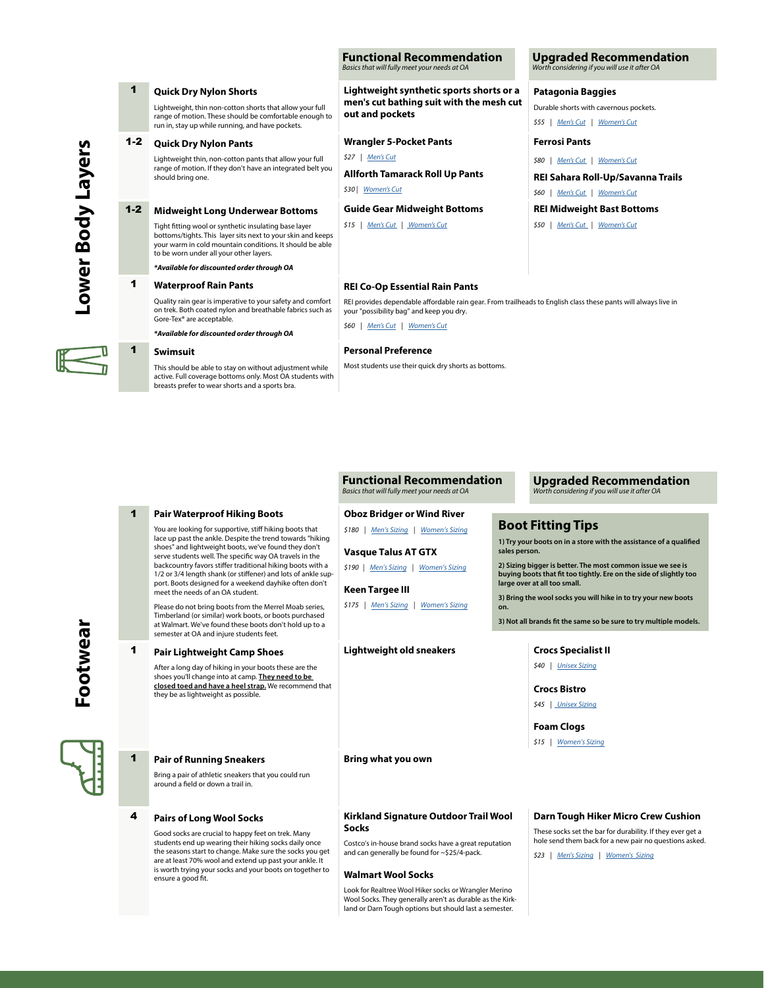#### **Functional Recommendation** Basics that will fully meet your needs at OA

**men's cut bathing suit with the mesh cut** 

**Lightweight synthetic sports shorts or a** 

**out and pockets**

\$27 | [Men's Cut](https://www.target.com/p/wrangler-men-s-five-pocket-pants/-/A-54585868?preselect=54497258#lnk=sametab)

\$30 | [Women's Cut](https://www.walmart.com/ip/Allforth-Women-s-Tamarack-Roll-up-Pants/858583774)

**Wrangler 5-Pocket Pants**

**Allforth Tamarack Roll Up Pants**

**Guide Gear Midweight Bottoms** \$15 | [Men's Cut](https://www.sportsmansguide.com/product/index/guide-gear-men039s-midweight-jersey-base-layer-bottoms?a=2178660) | [Women's Cut](https://www.sportsmansguide.com/product/index/guide-gear-women039s-midweight-jersey-base-layer-bottoms?a=2181297)

#### **Upgraded Recommendation** onsidering if you will use it after OA

#### **Patagonia Baggies**

Durable shorts with cavernous pockets. \$55 | [Men's Cut](https://www.patagonia.com/product/mens-baggies-shorts-5-inch/57021.html) | [Women's Cut](https://www.patagonia.com/product/womens-baggies-shorts-5-inch/57058.html?dwvar_57058_color=SFON)

### **Ferrosi Pants**

\$80 | [Men's Cut](https://www.outdoorresearch.com/us/mens-ferrosi-pants-269176) | [Women's Cut](https://www.outdoorresearch.com/us/womens-ferrosi-pants-269192)

**REI Sahara Roll-Up/Savanna Trails**

\$60 | [Men's Cut](https://www.rei.com/product/158172/rei-co-op-sahara-roll-up-pants-mens) | [Women's Cut](https://www.rei.com/product/148442/rei-co-op-savanna-trails-pants-womens)

### **REI Midweight Bast Bottoms**

\$50 | [Men's Cut](https://www.rei.com/product/121973/rei-co-op-midweight-base-layer-bottoms-mens) | [Women's Cut](https://www.rei.com/product/121928/rei-co-op-midweight-base-layer-tights-womens)

### **REI Co-Op Essential Rain Pants**

REI provides dependable afordable rain gear. From trailheads to English class these pants will always live in your "possibility bag" and keep you dry.

\$60 | [Men's Cut](https://www.rei.com/product/137186/rei-co-op-essential-rain-pants-mens?cm_mmc=aff_AL-_-34947-_-46631-_-NA&avad=46631_d20c86105&CA_6C15C=120217890005068528) | [Women's Cut](https://www.rei.com/product/137553/rei-co-op-essential-rain-pants-womens)

#### **Personal Preference**

Most students use their quick dry shorts as bottoms.

#### **Functional Recommendation** Basics that will fully meet your needs at OA

#### **Upgraded Recommendation** Worth considering if you will use it after OA

## **Boot Fitting Tips**

**1) Try your boots on in a store with the assistance of a qualifed sales person.**

**2) Sizing bigger is better. The most common issue we see is buying boots that ft too tightly. Ere on the side of slightly too large over at all too small.**

**3) Bring the wool socks you will hike in to try your new boots on.**

**3) Not all brands ft the same so be sure to try multiple models.**

\$40 | [Unisex Sizing](https://www.crocs.com/p/specialist-ii-clog/204590.html?cgid=clogs&cid=410#q=specialist&start=2)

### **Crocs Bistro**

\$45 | [Unisex Sizing](https://www.crocs.com/p/bistro-clog/10075.html?cgid=clogs&cid=001#q=bistro&start=2)

**Foam Clogs**

\$15 | [Women's Sizing](https://www.amazon.com/Natural-Uniforms-Ultralite-Womens-Clogs/dp/B00UDKGOQG/ref=sr_1_10?dchild=1&keywords=Foam%2BClogs&qid=1591470760&sr=8-10&th=1&psc=1)

### **Darn Tough Hiker Micro Crew Cushion**

These socks set the bar for durability. If they ever get a hole send them back for a new pair no questions asked.

\$23 | [Men's Sizing](https://darntough.com/products/micro-crew-cushion?variant=30180728647) | Women's [Sizing](https://darntough.com/products/solid-micro-crew-cushion?variant=30180800903)

## Lightweight, thin non-cotton shorts that allow your full range of motion. These should be comfortable enough to run in, stay up while running, and have pockets. 1-2 **Quick Dry Nylon Pants** Lightweight thin, non-cotton pants that allow your full range of motion. If they don't have an integrated belt you should bring one. 1-2 **Midweight Long Underwear Bottoms** Tight ftting wool or synthetic insulating base layer bottoms/tights. This layer sits next to your skin and keeps your warm in cold mountain conditions. It should be able to be worn under all your other layers. *\*Available for discounted order through OA* 1 **Waterproof Rain Pants** Quality rain gear is imperative to your safety and comfort on trek. Both coated nylon and breathable fabrics such as Gore-Tex® are acceptable.

1 **Quick Dry Nylon Shorts**

#### 1 **Swimsuit**

active. Full coverage bottoms only. Most OA students with breasts prefer to wear shorts and a sports bra.

**Footwear Lootwear** 



#### 1 **Pair of Running Sneakers** Bring a pair of athletic sneakers that you could run around a feld or down a trail in.

4 **Pairs of Long Wool Socks**

Good socks are crucial to happy feet on trek. Many students end up wearing their hiking socks daily once the seasons start to change. Make sure the socks you get are at least 70% wool and extend up past your ankle. It is worth trying your socks and your boots on together to ensure a good ft.

### **Kirkland Signature Outdoor Trail Wool Socks**

Costco's in-house brand socks have a great reputation and can generally be found for ~\$25/4-pack.

#### **Walmart Wool Socks**

Look for Realtree Wool Hiker socks or Wrangler Merino Wool Socks. They generally aren't as durable as the Kirkland or Darn Tough options but should last a semester.

**Lower Body Layers**

Lower Body Layers

This should be able to stay on without adjustment while

*\*Available for discounted order through OA*

1 **Pair Waterproof Hiking Boots**

#### You are looking for supportive, stiff hiking boots that lace up past the ankle. Despite the trend towards "hiking **Oboz Bridger or Wind River** \$180 | [Men's Sizing](https://obozfootwear.com/en-us/product/mens-bridger-mid-waterproof) | [Women's Sizing](https://obozfootwear.com/en-us/product/womens-bridger-mid-waterproof)

**Vasque Talus AT GTX**

\$190 | [Men's Sizing](https://www.vasque.com/breeze-at.html) | [Women's Sizing](https://www.vasque.com/breeze-at.html)

## **Keen Targee III**

\$175 | [Men's Sizing](https://www.keenfootwear.com/p/M-TARGHEE-III-MID-WP.html?dwvar_M-TARGHEE-III-MID-WP_color=1022069&cgid=mens_footwear_boots) | [Women's Sizing](https://www.keenfootwear.com/p/W-TARGHEE-III-MID-WP.html?dwvar_W-TARGHEE-III-MID-WP_color=1023040&cgid=womens_footwear_boots)

## **Lightweight old sneakers Crocs Specialist II**

port. Boots designed for a weekend dayhike often don't meet the needs of an OA student.

Please do not bring boots from the Merrel Moab series, Timberland (or similar) work boots, or boots purchased at Walmart. We've found these boots don't hold up to a semester at OA and injure students feet.

shoes" and lightweight boots, we've found they don't serve students well. The specifc way OA travels in the backcountry favors stifer traditional hiking boots with a 1/2 or 3/4 length shank (or stifener) and lots of ankle sup-

1 **Pair Lightweight Camp Shoes**

After a long day of hiking in your boots these are the shoes you'll change into at camp. **They need to be closed toed and have a heel strap.** We recommend that they be as lightweight as possible.

**Bring what you own**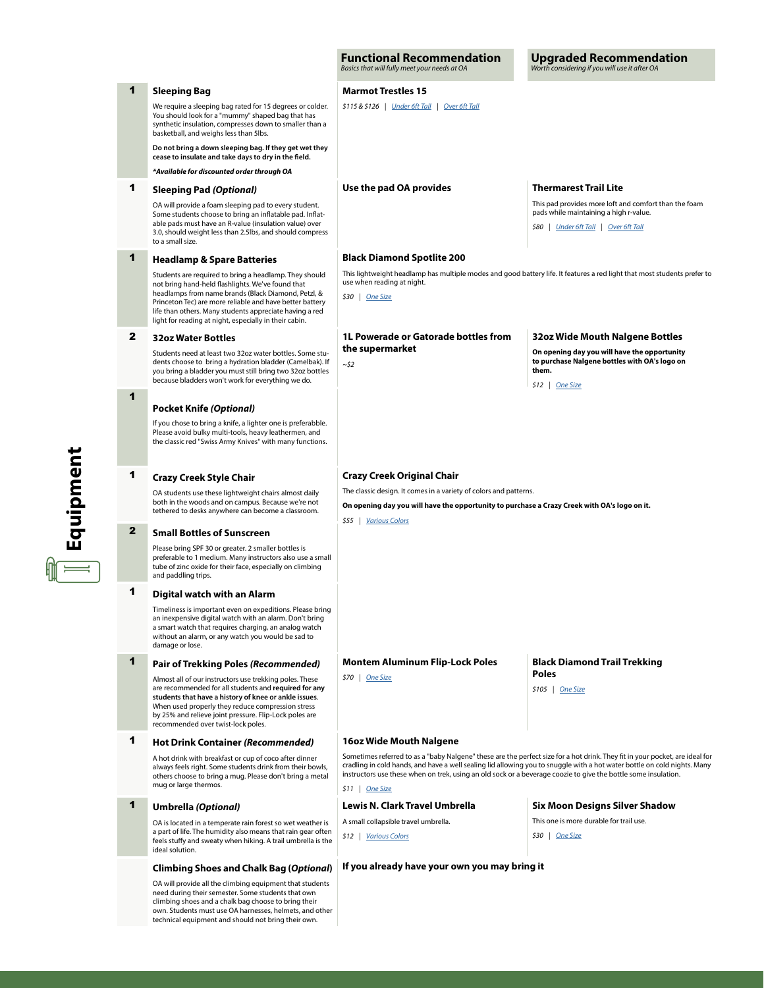|              |                                                                                                                                                                                                                                                                                                                                                     | <b>Functional Recommendation</b><br>Basics that will fully meet your needs at OA                                                                                                                                                                                                                                                                                                               | <b>Upgraded Recommendation</b><br>Worth considering if you will use it after OA                                                                                          |  |  |
|--------------|-----------------------------------------------------------------------------------------------------------------------------------------------------------------------------------------------------------------------------------------------------------------------------------------------------------------------------------------------------|------------------------------------------------------------------------------------------------------------------------------------------------------------------------------------------------------------------------------------------------------------------------------------------------------------------------------------------------------------------------------------------------|--------------------------------------------------------------------------------------------------------------------------------------------------------------------------|--|--|
| 1            | <b>Sleeping Bag</b>                                                                                                                                                                                                                                                                                                                                 | <b>Marmot Trestles 15</b>                                                                                                                                                                                                                                                                                                                                                                      |                                                                                                                                                                          |  |  |
|              | We require a sleeping bag rated for 15 degrees or colder.<br>You should look for a "mummy" shaped bag that has<br>synthetic insulation, compresses down to smaller than a<br>basketball, and weighs less than 5lbs.                                                                                                                                 | \$115 & \$126   Under 6ft Tall   Over 6ft Tall                                                                                                                                                                                                                                                                                                                                                 |                                                                                                                                                                          |  |  |
|              | Do not bring a down sleeping bag. If they get wet they<br>cease to insulate and take days to dry in the field.                                                                                                                                                                                                                                      |                                                                                                                                                                                                                                                                                                                                                                                                |                                                                                                                                                                          |  |  |
|              | *Available for discounted order through OA                                                                                                                                                                                                                                                                                                          |                                                                                                                                                                                                                                                                                                                                                                                                |                                                                                                                                                                          |  |  |
| 1            | <b>Sleeping Pad (Optional)</b><br>OA will provide a foam sleeping pad to every student.<br>Some students choose to bring an inflatable pad. Inflat-<br>able pads must have an R-value (insulation value) over<br>3.0, should weight less than 2.5lbs, and should compress<br>to a small size.                                                       | Use the pad OA provides                                                                                                                                                                                                                                                                                                                                                                        | <b>Thermarest Trail Lite</b><br>This pad provides more loft and comfort than the foam<br>pads while maintaining a high r-value.<br>\$80   Under 6ft Tall   Over 6ft Tall |  |  |
| 1            | <b>Headlamp &amp; Spare Batteries</b>                                                                                                                                                                                                                                                                                                               | <b>Black Diamond Spotlite 200</b>                                                                                                                                                                                                                                                                                                                                                              |                                                                                                                                                                          |  |  |
|              | Students are required to bring a headlamp. They should<br>not bring hand-held flashlights. We've found that<br>headlamps from name brands (Black Diamond, Petzl, &<br>Princeton Tec) are more reliable and have better battery<br>life than others. Many students appreciate having a red<br>light for reading at night, especially in their cabin. | This lightweight headlamp has multiple modes and good battery life. It features a red light that most students prefer to<br>use when reading at night.<br>\$30   One Size                                                                                                                                                                                                                      |                                                                                                                                                                          |  |  |
| $\mathbf{z}$ | <b>32oz Water Bottles</b>                                                                                                                                                                                                                                                                                                                           | 1L Powerade or Gatorade bottles from                                                                                                                                                                                                                                                                                                                                                           | 32oz Wide Mouth Nalgene Bottles                                                                                                                                          |  |  |
|              | Students need at least two 32oz water bottles. Some stu-<br>dents choose to bring a hydration bladder (Camelbak). If<br>you bring a bladder you must still bring two 32oz bottles<br>because bladders won't work for everything we do.                                                                                                              | the supermarket<br>~\$2                                                                                                                                                                                                                                                                                                                                                                        | On opening day you will have the opportunity<br>to purchase Nalgene bottles with OA's logo on<br>them.<br>$$12$   One Size                                               |  |  |
| 1            |                                                                                                                                                                                                                                                                                                                                                     |                                                                                                                                                                                                                                                                                                                                                                                                |                                                                                                                                                                          |  |  |
|              | <b>Pocket Knife (Optional)</b><br>If you chose to bring a knife, a lighter one is preferabble.<br>Please avoid bulky multi-tools, heavy leathermen, and<br>the classic red "Swiss Army Knives" with many functions.                                                                                                                                 |                                                                                                                                                                                                                                                                                                                                                                                                |                                                                                                                                                                          |  |  |
| 1            | Crazy Creek Original Chair<br><b>Crazy Creek Style Chair</b>                                                                                                                                                                                                                                                                                        |                                                                                                                                                                                                                                                                                                                                                                                                |                                                                                                                                                                          |  |  |
|              | OA students use these lightweight chairs almost daily<br>both in the woods and on campus. Because we're not<br>tethered to desks anywhere can become a classroom.                                                                                                                                                                                   | The classic design. It comes in a variety of colors and patterns.<br>On opening day you will have the opportunity to purchase a Crazy Creek with OA's logo on it.<br>\$55   Various Colors                                                                                                                                                                                                     |                                                                                                                                                                          |  |  |
| $\mathbf{2}$ | <b>Small Bottles of Sunscreen</b>                                                                                                                                                                                                                                                                                                                   |                                                                                                                                                                                                                                                                                                                                                                                                |                                                                                                                                                                          |  |  |
|              | Please bring SPF 30 or greater. 2 smaller bottles is<br>preferable to 1 medium. Many instructors also use a small<br>tube of zinc oxide for their face, especially on climbing<br>and paddling trips.                                                                                                                                               |                                                                                                                                                                                                                                                                                                                                                                                                |                                                                                                                                                                          |  |  |
| 1            | Digital watch with an Alarm                                                                                                                                                                                                                                                                                                                         |                                                                                                                                                                                                                                                                                                                                                                                                |                                                                                                                                                                          |  |  |
|              | Timeliness is important even on expeditions. Please bring<br>an inexpensive digital watch with an alarm. Don't bring<br>a smart watch that requires charging, an analog watch<br>without an alarm, or any watch you would be sad to<br>damage or lose.                                                                                              |                                                                                                                                                                                                                                                                                                                                                                                                |                                                                                                                                                                          |  |  |
| 1            | <b>Pair of Trekking Poles (Recommended)</b>                                                                                                                                                                                                                                                                                                         | <b>Montem Aluminum Flip-Lock Poles</b>                                                                                                                                                                                                                                                                                                                                                         | <b>Black Diamond Trail Trekking</b>                                                                                                                                      |  |  |
|              | Almost all of our instructors use trekking poles. These<br>are recommended for all students and required for any<br>students that have a history of knee or ankle issues.<br>When used properly they reduce compression stress<br>by 25% and relieve joint pressure. Flip-Lock poles are<br>recommended over twist-lock poles.                      | \$70   One Size                                                                                                                                                                                                                                                                                                                                                                                | <b>Poles</b><br>\$105   One Size                                                                                                                                         |  |  |
| 1            | Hot Drink Container (Recommended)                                                                                                                                                                                                                                                                                                                   | 16oz Wide Mouth Nalgene                                                                                                                                                                                                                                                                                                                                                                        |                                                                                                                                                                          |  |  |
|              | A hot drink with breakfast or cup of coco after dinner<br>always feels right. Some students drink from their bowls,<br>others choose to bring a mug. Please don't bring a metal<br>mug or large thermos.                                                                                                                                            | Sometimes referred to as a "baby Nalgene" these are the perfect size for a hot drink. They fit in your pocket, are ideal for<br>cradling in cold hands, and have a well sealing lid allowing you to snuggle with a hot water bottle on cold nights. Many<br>instructors use these when on trek, using an old sock or a beverage coozie to give the bottle some insulation.<br>$$11$   One Size |                                                                                                                                                                          |  |  |
| 1            | <b>Umbrella (Optional)</b>                                                                                                                                                                                                                                                                                                                          | <b>Lewis N. Clark Travel Umbrella</b>                                                                                                                                                                                                                                                                                                                                                          | <b>Six Moon Designs Silver Shadow</b>                                                                                                                                    |  |  |
|              | OA is located in a temperate rain forest so wet weather is<br>a part of life. The humidity also means that rain gear often<br>feels stuffy and sweaty when hiking. A trail umbrella is the<br>ideal solution.                                                                                                                                       | A small collapsible travel umbrella.<br>\$12   Various Colors                                                                                                                                                                                                                                                                                                                                  | This one is more durable for trail use.<br>$$30$   One Size                                                                                                              |  |  |
|              | Climbing Shoes and Chalk Bag (Optional)                                                                                                                                                                                                                                                                                                             | If you already have your own you may bring it                                                                                                                                                                                                                                                                                                                                                  |                                                                                                                                                                          |  |  |
|              | OA will provide all the climbing equipment that students<br>need during their semester. Some students that own<br>climbing shoes and a chalk bag choose to bring their<br>own. Students must use OA harnesses, helmets, and other<br>technical equipment and should not bring their own.                                                            |                                                                                                                                                                                                                                                                                                                                                                                                |                                                                                                                                                                          |  |  |

 $\mathbb{E}$  Equipment **Equipment**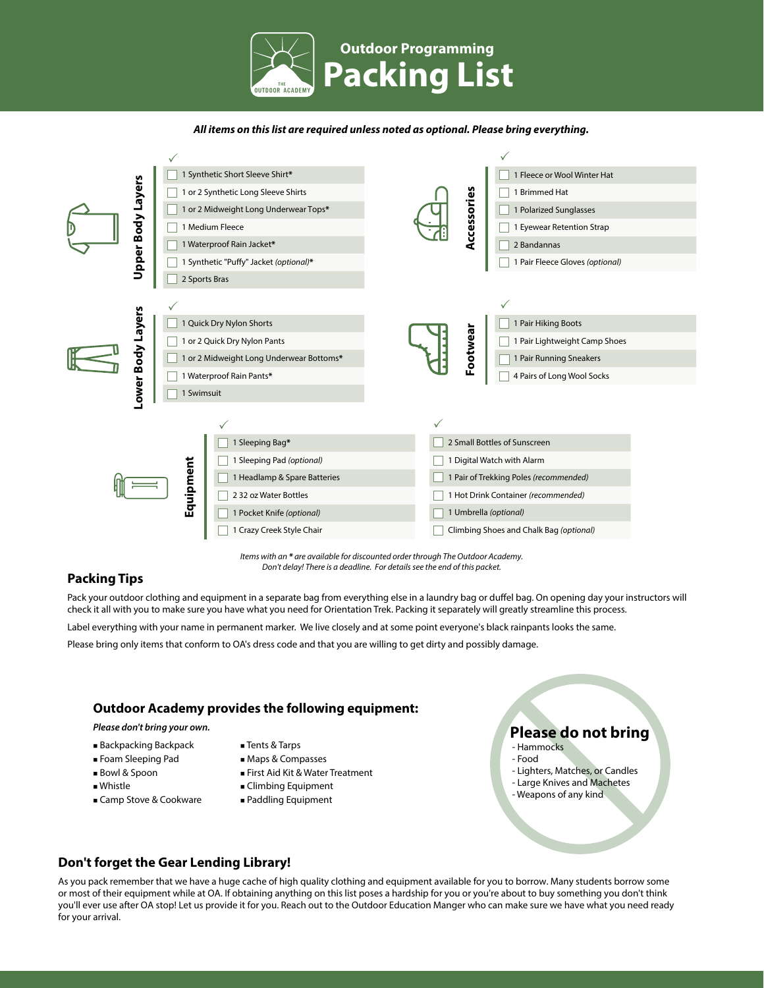

### **All items on this list are required unless noted as optional. Please bring everything.**



*Items with an \* are* available *for discounted order through* The *Outdoor Academy. Don't delay! There is a deadline. For details see the end of this packet.*

## **Packing Tips**

Pack your outdoor clothing and equipment in a separate bag from everything else in a laundry bag or dufel bag. On opening day your instructors will check it all with you to make sure you have what you need for Orientation Trek. Packing it separately will greatly streamline this process.

Label everything with your name in permanent marker. We live closely and at some point everyone's black rainpants looks the same.

Please bring only items that conform to OA's dress code and that you are willing to get dirty and possibly damage.

## **Outdoor Academy provides the following equipment:**

- Backpacking Backpack
- Tents & Tarps
- Foam Sleeping Pad
- Bowl & Spoon
- Whistle
- Camp Stove & Cookware
- Maps & Compasses
- First Aid Kit & Water Treatment
- **Climbing Equipment** 
	-
	- Paddling Equipment

# *Please don't bring your own.* **Please do not bring**

- Hammocks - Food
- 
- Lighters, Matches, or Candles - Large Knives and Machetes
- Weapons of any kind

## **Don't forget the Gear Lending Library!**

As you pack remember that we have a huge cache of high quality clothing and equipment available for you to borrow. Many students borrow some or most of their equipment while at OA. If obtaining anything on this list poses a hardship for you or you're about to buy something you don't think you'll ever use after OA stop! Let us provide it for you. Reach out to the Outdoor Education Manger who can make sure we have what you need ready for your arrival.